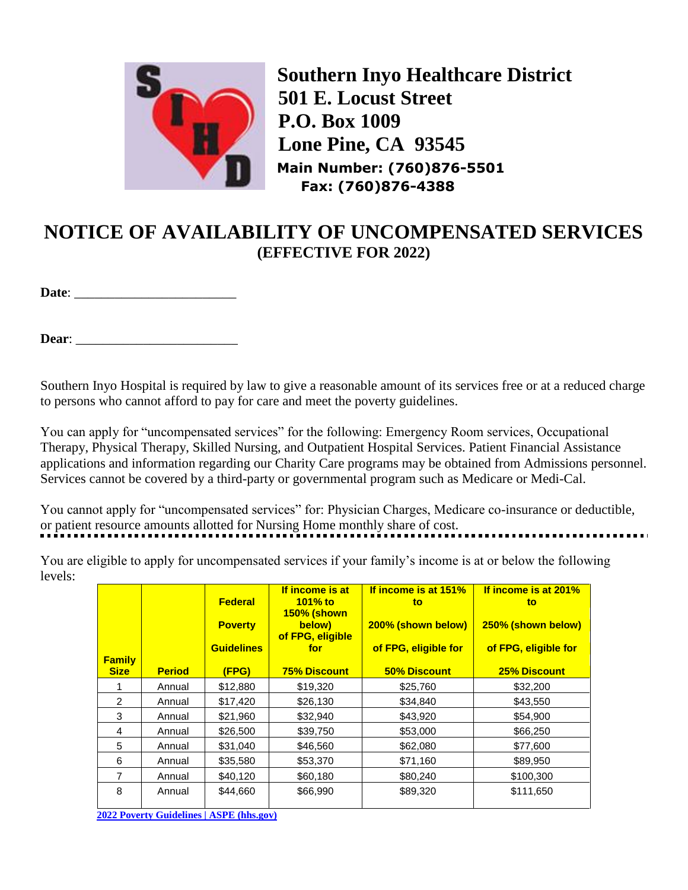

**Southern Inyo Healthcare District 501 E. Locust Street P.O. Box 1009 Lone Pine, CA 93545 Main Number: (760)876-5501 Fax: (760)876-4388**

## **NOTICE OF AVAILABILITY OF UNCOMPENSATED SERVICES (EFFECTIVE FOR 2022)**

**Date**:

**Dear**: \_\_\_\_\_\_\_\_\_\_\_\_\_\_\_\_\_\_\_\_\_\_\_\_

Southern Inyo Hospital is required by law to give a reasonable amount of its services free or at a reduced charge to persons who cannot afford to pay for care and meet the poverty guidelines.

You can apply for "uncompensated services" for the following: Emergency Room services, Occupational Therapy, Physical Therapy, Skilled Nursing, and Outpatient Hospital Services. Patient Financial Assistance applications and information regarding our Charity Care programs may be obtained from Admissions personnel. Services cannot be covered by a third-party or governmental program such as Medicare or Medi-Cal.

You cannot apply for "uncompensated services" for: Physician Charges, Medicare co-insurance or deductible, or patient resource amounts allotted for Nursing Home monthly share of cost.

You are eligible to apply for uncompensated services if your family's income is at or below the following levels:

| <b>Family</b><br><b>Size</b> | <b>Period</b> | <b>Federal</b><br><b>Poverty</b><br><b>Guidelines</b><br>(FPG) | If income is at<br>101% to<br><b>150% (shown</b><br>below)<br>of FPG, eligible<br>for<br><b>75% Discount</b> | If income is at 151%<br>to<br>200% (shown below)<br>of FPG, eligible for<br>50% Discount | If income is at 201%<br>to<br>250% (shown below)<br>of FPG, eligible for<br><b>25% Discount</b> |
|------------------------------|---------------|----------------------------------------------------------------|--------------------------------------------------------------------------------------------------------------|------------------------------------------------------------------------------------------|-------------------------------------------------------------------------------------------------|
|                              | Annual        | \$12,880                                                       | \$19,320                                                                                                     | \$25,760                                                                                 | \$32,200                                                                                        |
| $\overline{2}$               | Annual        | \$17,420                                                       | \$26,130                                                                                                     | \$34,840                                                                                 | \$43,550                                                                                        |
| 3                            | Annual        | \$21,960                                                       | \$32,940                                                                                                     | \$43,920                                                                                 | \$54,900                                                                                        |
| 4                            | Annual        | \$26,500                                                       | \$39,750                                                                                                     | \$53,000                                                                                 | \$66,250                                                                                        |
| 5                            | Annual        | \$31,040                                                       | \$46,560                                                                                                     | \$62,080                                                                                 | \$77,600                                                                                        |
| 6                            | Annual        | \$35,580                                                       | \$53,370                                                                                                     | \$71,160                                                                                 | \$89,950                                                                                        |
| $\overline{7}$               | Annual        | \$40,120                                                       | \$60,180                                                                                                     | \$80,240                                                                                 | \$100,300                                                                                       |
| 8                            | Annual        | \$44,660                                                       | \$66,990                                                                                                     | \$89,320                                                                                 | \$111,650                                                                                       |

**2022 [Poverty Guidelines | ASPE \(hhs.gov\)](https://aspe.hhs.gov/topics/poverty-economic-mobility/poverty-guidelines/prior-hhs-poverty-guidelines-federal-register-references/2021-poverty-guidelines#guidelines)**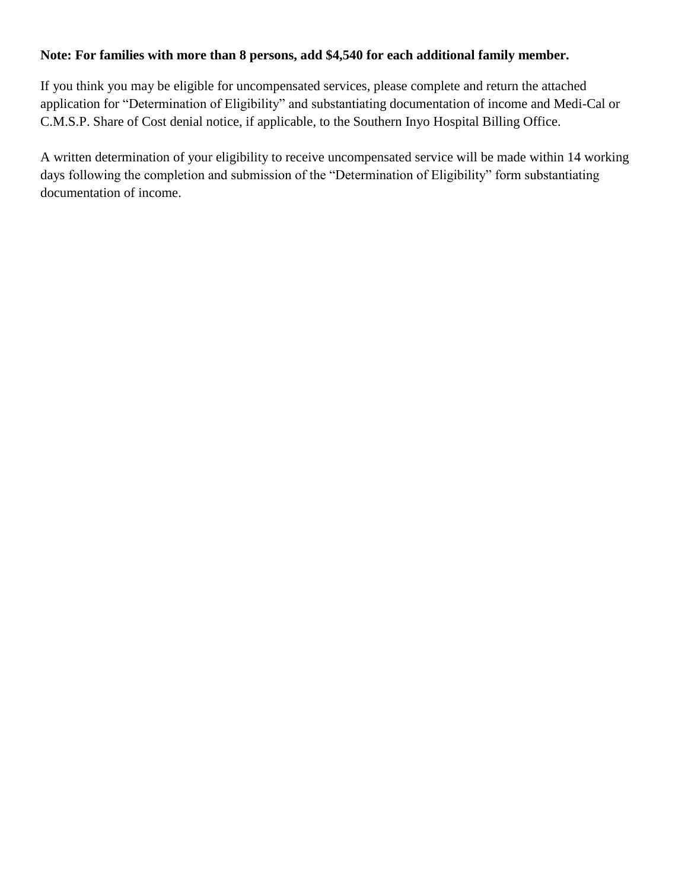## **Note: For families with more than 8 persons, add \$4,540 for each additional family member.**

If you think you may be eligible for uncompensated services, please complete and return the attached application for "Determination of Eligibility" and substantiating documentation of income and Medi-Cal or C.M.S.P. Share of Cost denial notice, if applicable, to the Southern Inyo Hospital Billing Office.

A written determination of your eligibility to receive uncompensated service will be made within 14 working days following the completion and submission of the "Determination of Eligibility" form substantiating documentation of income.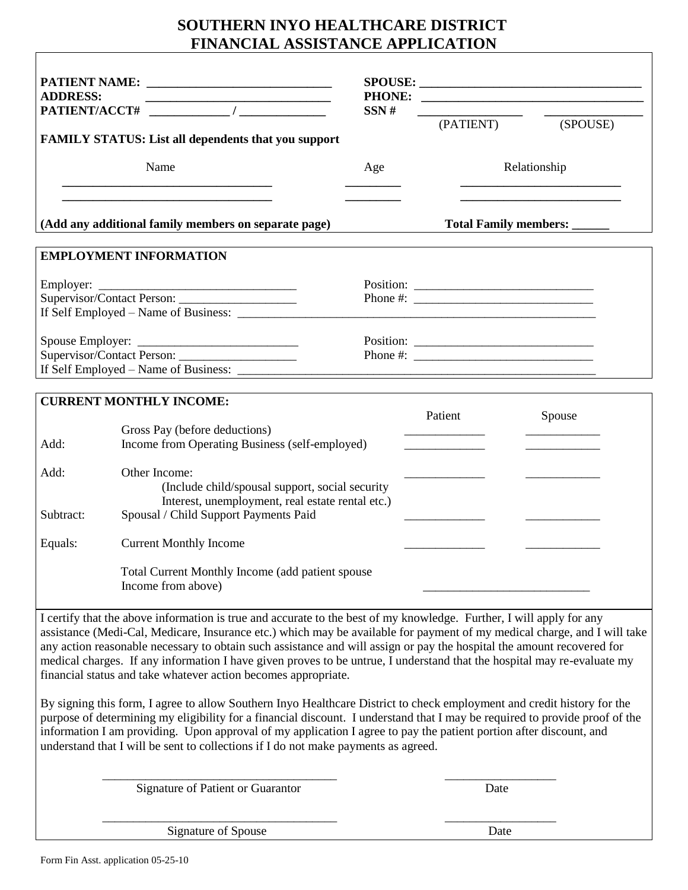## **SOUTHERN INYO HEALTHCARE DISTRICT FINANCIAL ASSISTANCE APPLICATION**

| <b>ADDRESS:</b>                                                                                                               | <u> 2000 - Jan James James Barnett, amerikan bahasa perangan perangan perangan perangan perangan perangan perangan</u><br>PATIENT/ACCT# /<br>FAMILY STATUS: List all dependents that you support                                                                                                                                                                                                                                                                                                                                                                                                                                                                                                                                                                                                                                                                                                                                                                                                                                              |  | SSN# | (PATIENT)                                                                                                                            | SPOUSE:<br>$\overline{\phantom{a}}$<br>(SPOUSE) |  |
|-------------------------------------------------------------------------------------------------------------------------------|-----------------------------------------------------------------------------------------------------------------------------------------------------------------------------------------------------------------------------------------------------------------------------------------------------------------------------------------------------------------------------------------------------------------------------------------------------------------------------------------------------------------------------------------------------------------------------------------------------------------------------------------------------------------------------------------------------------------------------------------------------------------------------------------------------------------------------------------------------------------------------------------------------------------------------------------------------------------------------------------------------------------------------------------------|--|------|--------------------------------------------------------------------------------------------------------------------------------------|-------------------------------------------------|--|
| Name<br><u> 1989 - Johann Harry Harry Harry Harry Harry Harry Harry Harry Harry Harry Harry Harry Harry Harry Harry Harry</u> |                                                                                                                                                                                                                                                                                                                                                                                                                                                                                                                                                                                                                                                                                                                                                                                                                                                                                                                                                                                                                                               |  | Age  | Relationship<br><u> 1989 - Johann Harry Barn, mars ar y brening ar y brening ar y brening ar y brening ar y brening ar y brening</u> |                                                 |  |
|                                                                                                                               | the control of the control of the control of the control of the control of the control of<br>(Add any additional family members on separate page)                                                                                                                                                                                                                                                                                                                                                                                                                                                                                                                                                                                                                                                                                                                                                                                                                                                                                             |  |      |                                                                                                                                      | Total Family members: _____                     |  |
|                                                                                                                               | <b>EMPLOYMENT INFORMATION</b>                                                                                                                                                                                                                                                                                                                                                                                                                                                                                                                                                                                                                                                                                                                                                                                                                                                                                                                                                                                                                 |  |      |                                                                                                                                      |                                                 |  |
|                                                                                                                               |                                                                                                                                                                                                                                                                                                                                                                                                                                                                                                                                                                                                                                                                                                                                                                                                                                                                                                                                                                                                                                               |  |      |                                                                                                                                      |                                                 |  |
| Spouse Employer:                                                                                                              |                                                                                                                                                                                                                                                                                                                                                                                                                                                                                                                                                                                                                                                                                                                                                                                                                                                                                                                                                                                                                                               |  |      |                                                                                                                                      |                                                 |  |
|                                                                                                                               |                                                                                                                                                                                                                                                                                                                                                                                                                                                                                                                                                                                                                                                                                                                                                                                                                                                                                                                                                                                                                                               |  |      |                                                                                                                                      |                                                 |  |
|                                                                                                                               |                                                                                                                                                                                                                                                                                                                                                                                                                                                                                                                                                                                                                                                                                                                                                                                                                                                                                                                                                                                                                                               |  |      |                                                                                                                                      |                                                 |  |
|                                                                                                                               | <b>CURRENT MONTHLY INCOME:</b>                                                                                                                                                                                                                                                                                                                                                                                                                                                                                                                                                                                                                                                                                                                                                                                                                                                                                                                                                                                                                |  |      | Patient                                                                                                                              | Spouse                                          |  |
| Add:                                                                                                                          | Gross Pay (before deductions)<br>Income from Operating Business (self-employed)                                                                                                                                                                                                                                                                                                                                                                                                                                                                                                                                                                                                                                                                                                                                                                                                                                                                                                                                                               |  |      |                                                                                                                                      |                                                 |  |
| Add:<br>Subtract:                                                                                                             | Other Income:<br>(Include child/spousal support, social security<br>Interest, unemployment, real estate rental etc.)<br>Spousal / Child Support Payments Paid                                                                                                                                                                                                                                                                                                                                                                                                                                                                                                                                                                                                                                                                                                                                                                                                                                                                                 |  |      |                                                                                                                                      |                                                 |  |
| Equals:                                                                                                                       | <b>Current Monthly Income</b>                                                                                                                                                                                                                                                                                                                                                                                                                                                                                                                                                                                                                                                                                                                                                                                                                                                                                                                                                                                                                 |  |      |                                                                                                                                      |                                                 |  |
|                                                                                                                               | Total Current Monthly Income (add patient spouse<br>Income from above)                                                                                                                                                                                                                                                                                                                                                                                                                                                                                                                                                                                                                                                                                                                                                                                                                                                                                                                                                                        |  |      |                                                                                                                                      |                                                 |  |
|                                                                                                                               | I certify that the above information is true and accurate to the best of my knowledge. Further, I will apply for any<br>assistance (Medi-Cal, Medicare, Insurance etc.) which may be available for payment of my medical charge, and I will take<br>any action reasonable necessary to obtain such assistance and will assign or pay the hospital the amount recovered for<br>medical charges. If any information I have given proves to be untrue, I understand that the hospital may re-evaluate my<br>financial status and take whatever action becomes appropriate.<br>By signing this form, I agree to allow Southern Inyo Healthcare District to check employment and credit history for the<br>purpose of determining my eligibility for a financial discount. I understand that I may be required to provide proof of the<br>information I am providing. Upon approval of my application I agree to pay the patient portion after discount, and<br>understand that I will be sent to collections if I do not make payments as agreed. |  |      |                                                                                                                                      |                                                 |  |
|                                                                                                                               | Signature of Patient or Guarantor                                                                                                                                                                                                                                                                                                                                                                                                                                                                                                                                                                                                                                                                                                                                                                                                                                                                                                                                                                                                             |  |      | Date                                                                                                                                 |                                                 |  |

Signature of Spouse Date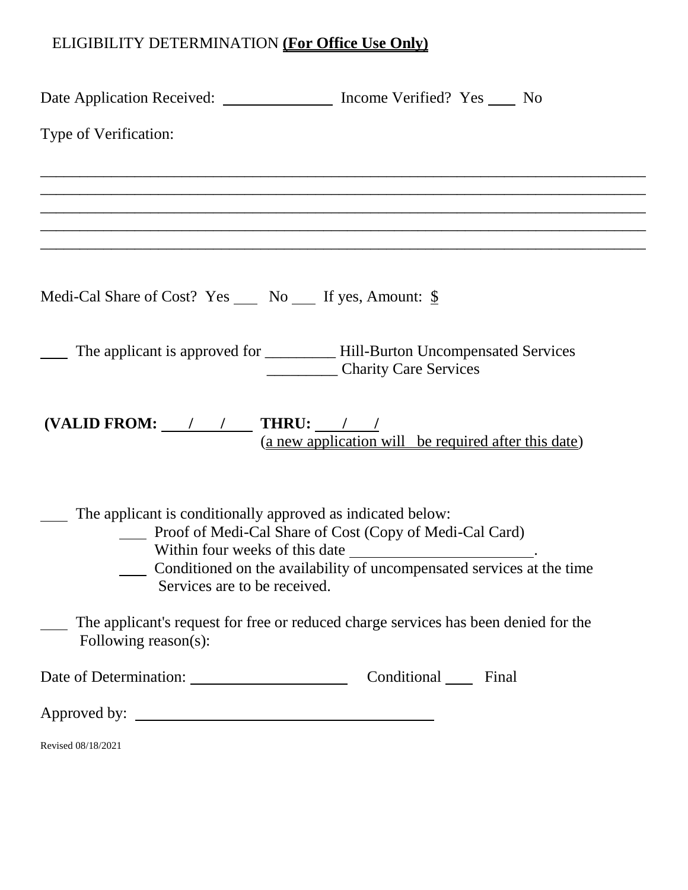## ELIGIBILITY DETERMINATION **(For Office Use Only)**

| Date Application Received: Income Verified? Yes _____ No      |                                                                                                                                                                  |
|---------------------------------------------------------------|------------------------------------------------------------------------------------------------------------------------------------------------------------------|
| Type of Verification:                                         |                                                                                                                                                                  |
|                                                               | <u> 1989 - Johann Stoff, deutscher Stoff, der Stoff, der Stoff, der Stoff, der Stoff, der Stoff, der Stoff, der S</u>                                            |
|                                                               |                                                                                                                                                                  |
|                                                               |                                                                                                                                                                  |
| Medi-Cal Share of Cost? Yes _____ No _____ If yes, Amount: \$ |                                                                                                                                                                  |
|                                                               | The applicant is approved for _____________ Hill-Burton Uncompensated Services<br>Charity Care Services                                                          |
| (VALID FROM: $\angle$ / $\angle$ THRU: / /                    | (a new application will be required after this date)                                                                                                             |
| The applicant is conditionally approved as indicated below:   | Proof of Medi-Cal Share of Cost (Copy of Medi-Cal Card)<br>Conditioned on the availability of uncompensated services at the time<br>Services are to be received. |
| Following reason(s):                                          | The applicant's request for free or reduced charge services has been denied for the                                                                              |
| Date of Determination: Conditional Final                      |                                                                                                                                                                  |
|                                                               |                                                                                                                                                                  |
| Revised 08/18/2021                                            |                                                                                                                                                                  |